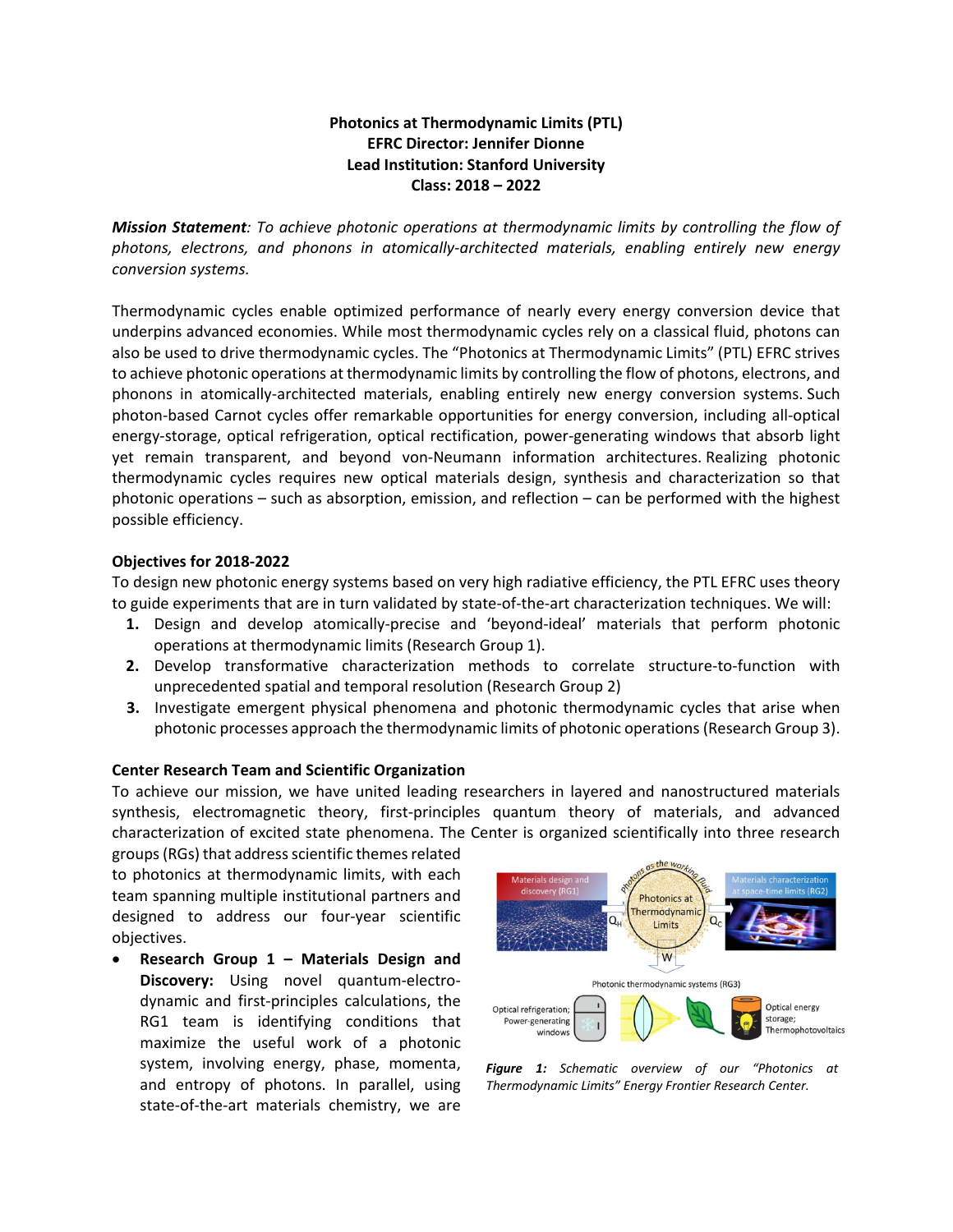## **Photonics at Thermodynamic Limits (PTL) EFRC Director: Jennifer Dionne Lead Institution: Stanford University Class: 2018 – 2022**

*Mission Statement: To achieve photonic operations at thermodynamic limits by controlling the flow of photons, electrons, and phonons in atomically-architected materials, enabling entirely new energy conversion systems.*

Thermodynamic cycles enable optimized performance of nearly every energy conversion device that underpins advanced economies. While most thermodynamic cycles rely on a classical fluid, photons can also be used to drive thermodynamic cycles. The "Photonics at Thermodynamic Limits" (PTL) EFRC strives to achieve photonic operations at thermodynamic limits by controlling the flow of photons, electrons, and phonons in atomically-architected materials, enabling entirely new energy conversion systems. Such photon-based Carnot cycles offer remarkable opportunities for energy conversion, including all-optical energy-storage, optical refrigeration, optical rectification, power-generating windows that absorb light yet remain transparent, and beyond von-Neumann information architectures. Realizing photonic thermodynamic cycles requires new optical materials design, synthesis and characterization so that photonic operations – such as absorption, emission, and reflection – can be performed with the highest possible efficiency.

## **Objectives for 2018-2022**

To design new photonic energy systems based on very high radiative efficiency, the PTL EFRC uses theory to guide experiments that are in turn validated by state-of-the-art characterization techniques. We will:

- **1.** Design and develop atomically-precise and 'beyond-ideal' materials that perform photonic operations at thermodynamic limits (Research Group 1).
- **2.** Develop transformative characterization methods to correlate structure-to-function with unprecedented spatial and temporal resolution (Research Group 2)
- **3.** Investigate emergent physical phenomena and photonic thermodynamic cycles that arise when photonic processes approach the thermodynamic limits of photonic operations (Research Group 3).

## **Center Research Team and Scientific Organization**

To achieve our mission, we have united leading researchers in layered and nanostructured materials synthesis, electromagnetic theory, first-principles quantum theory of materials, and advanced characterization of excited state phenomena. The Center is organized scientifically into three research

groups (RGs) that address scientific themes related to photonics at thermodynamic limits, with each team spanning multiple institutional partners and designed to address our four-year scientific objectives.

• **Research Group 1 – Materials Design and Discovery:** Using novel quantum-electrodynamic and first-principles calculations, the RG1 team is identifying conditions that maximize the useful work of a photonic system, involving energy, phase, momenta, and entropy of photons. In parallel, using state-of-the-art materials chemistry, we are



*Figure 1: Schematic overview of our "Photonics at Thermodynamic Limits" Energy Frontier Research Center.*